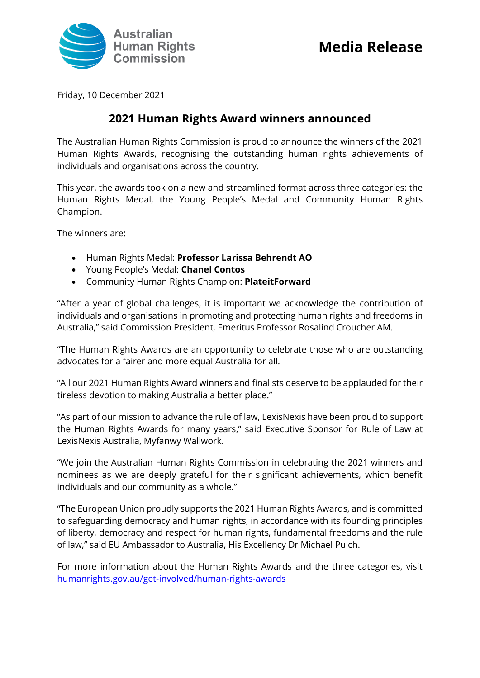

Friday, 10 December 2021

## **2021 Human Rights Award winners announced**

The Australian Human Rights Commission is proud to announce the winners of the 2021 Human Rights Awards, recognising the outstanding human rights achievements of individuals and organisations across the country.

This year, the awards took on a new and streamlined format across three categories: the Human Rights Medal, the Young People's Medal and Community Human Rights Champion.

The winners are:

- Human Rights Medal: **Professor Larissa Behrendt AO**
- Young People's Medal: **Chanel Contos**
- Community Human Rights Champion: **PlateitForward**

"After a year of global challenges, it is important we acknowledge the contribution of individuals and organisations in promoting and protecting human rights and freedoms in Australia," said Commission President, Emeritus Professor Rosalind Croucher AM.

"The Human Rights Awards are an opportunity to celebrate those who are outstanding advocates for a fairer and more equal Australia for all.

"All our 2021 Human Rights Award winners and finalists deserve to be applauded for their tireless devotion to making Australia a better place."

"As part of our mission to advance the rule of law, LexisNexis have been proud to support the Human Rights Awards for many years," said Executive Sponsor for Rule of Law at LexisNexis Australia, Myfanwy Wallwork.

"We join the Australian Human Rights Commission in celebrating the 2021 winners and nominees as we are deeply grateful for their significant achievements, which benefit individuals and our community as a whole."

"The European Union proudly supports the 2021 Human Rights Awards, and is committed to safeguarding democracy and human rights, in accordance with its founding principles of liberty, democracy and respect for human rights, fundamental freedoms and the rule of law," said EU Ambassador to Australia, His Excellency Dr Michael Pulch.

For more information about the Human Rights Awards and the three categories, visit [humanrights.gov.au/get-involved/human-rights-awards](https://d.docs.live.net/200f8c853e84d4f9/Desktop/humanrights.gov.au/get-involved/human-rights-awards)